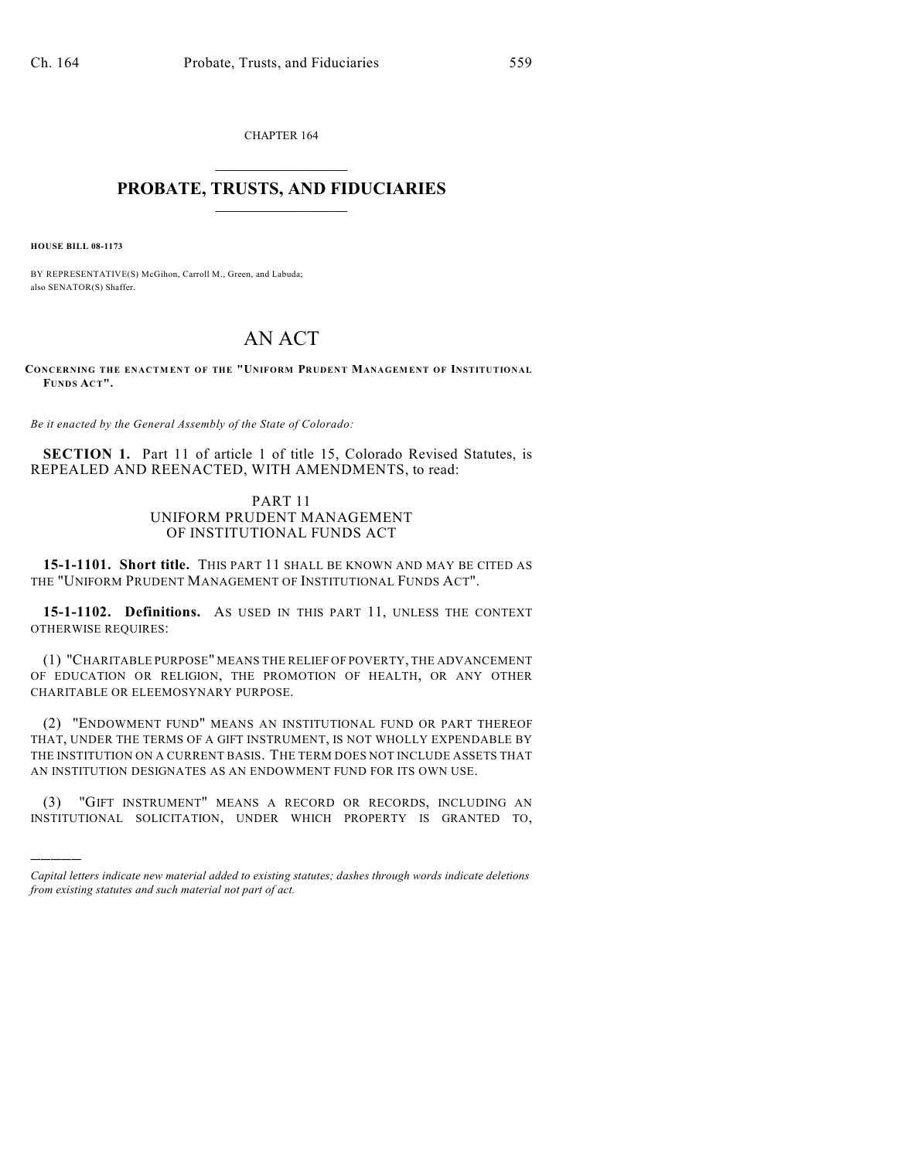CHAPTER 164  $\overline{\phantom{a}}$  . The set of the set of the set of the set of the set of the set of the set of the set of the set of the set of the set of the set of the set of the set of the set of the set of the set of the set of the set o

## **PROBATE, TRUSTS, AND FIDUCIARIES**  $\overline{\phantom{a}}$

**HOUSE BILL 08-1173**

)))))

BY REPRESENTATIVE(S) McGihon, Carroll M., Green, and Labuda; also SENATOR(S) Shaffer.

## AN ACT

**CONCERNING THE ENACTM ENT OF THE "UNIFORM PRUDENT MANAGEM ENT OF INSTITUTIONAL FUNDS ACT".**

*Be it enacted by the General Assembly of the State of Colorado:*

**SECTION 1.** Part 11 of article 1 of title 15, Colorado Revised Statutes, is REPEALED AND REENACTED, WITH AMENDMENTS, to read:

## PART 11 UNIFORM PRUDENT MANAGEMENT OF INSTITUTIONAL FUNDS ACT

**15-1-1101. Short title.** THIS PART 11 SHALL BE KNOWN AND MAY BE CITED AS THE "UNIFORM PRUDENT MANAGEMENT OF INSTITUTIONAL FUNDS ACT".

**15-1-1102. Definitions.** AS USED IN THIS PART 11, UNLESS THE CONTEXT OTHERWISE REQUIRES:

(1) "CHARITABLE PURPOSE" MEANS THE RELIEF OF POVERTY, THE ADVANCEMENT OF EDUCATION OR RELIGION, THE PROMOTION OF HEALTH, OR ANY OTHER CHARITABLE OR ELEEMOSYNARY PURPOSE.

(2) "ENDOWMENT FUND" MEANS AN INSTITUTIONAL FUND OR PART THEREOF THAT, UNDER THE TERMS OF A GIFT INSTRUMENT, IS NOT WHOLLY EXPENDABLE BY THE INSTITUTION ON A CURRENT BASIS. THE TERM DOES NOT INCLUDE ASSETS THAT AN INSTITUTION DESIGNATES AS AN ENDOWMENT FUND FOR ITS OWN USE.

(3) "GIFT INSTRUMENT" MEANS A RECORD OR RECORDS, INCLUDING AN INSTITUTIONAL SOLICITATION, UNDER WHICH PROPERTY IS GRANTED TO,

*Capital letters indicate new material added to existing statutes; dashes through words indicate deletions from existing statutes and such material not part of act.*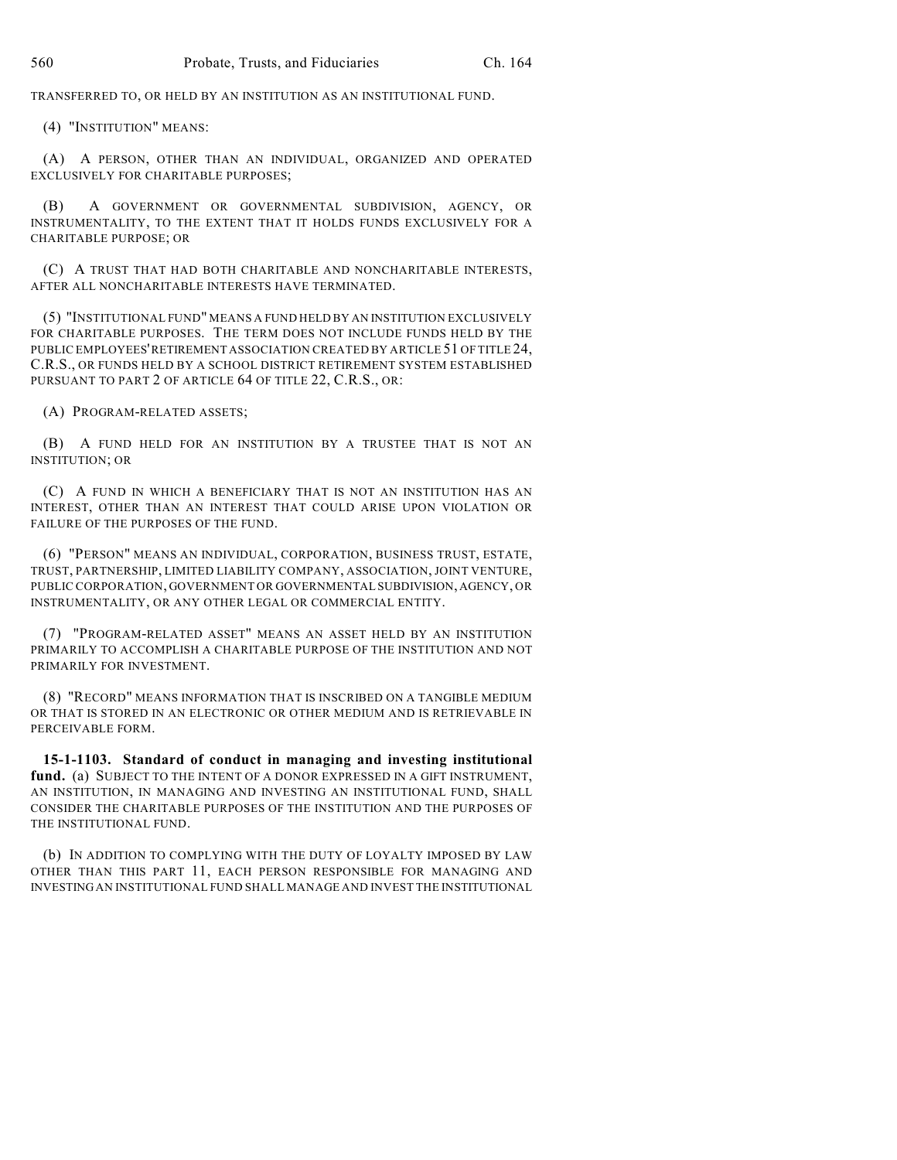TRANSFERRED TO, OR HELD BY AN INSTITUTION AS AN INSTITUTIONAL FUND.

(4) "INSTITUTION" MEANS:

(A) A PERSON, OTHER THAN AN INDIVIDUAL, ORGANIZED AND OPERATED EXCLUSIVELY FOR CHARITABLE PURPOSES;

(B) A GOVERNMENT OR GOVERNMENTAL SUBDIVISION, AGENCY, OR INSTRUMENTALITY, TO THE EXTENT THAT IT HOLDS FUNDS EXCLUSIVELY FOR A CHARITABLE PURPOSE; OR

(C) A TRUST THAT HAD BOTH CHARITABLE AND NONCHARITABLE INTERESTS, AFTER ALL NONCHARITABLE INTERESTS HAVE TERMINATED.

(5) "INSTITUTIONAL FUND" MEANS A FUND HELD BY AN INSTITUTION EXCLUSIVELY FOR CHARITABLE PURPOSES. THE TERM DOES NOT INCLUDE FUNDS HELD BY THE PUBLIC EMPLOYEES' RETIREMENT ASSOCIATION CREATED BY ARTICLE 51 OF TITLE 24, C.R.S., OR FUNDS HELD BY A SCHOOL DISTRICT RETIREMENT SYSTEM ESTABLISHED PURSUANT TO PART 2 OF ARTICLE 64 OF TITLE 22, C.R.S., OR:

(A) PROGRAM-RELATED ASSETS;

(B) A FUND HELD FOR AN INSTITUTION BY A TRUSTEE THAT IS NOT AN INSTITUTION; OR

(C) A FUND IN WHICH A BENEFICIARY THAT IS NOT AN INSTITUTION HAS AN INTEREST, OTHER THAN AN INTEREST THAT COULD ARISE UPON VIOLATION OR FAILURE OF THE PURPOSES OF THE FUND.

(6) "PERSON" MEANS AN INDIVIDUAL, CORPORATION, BUSINESS TRUST, ESTATE, TRUST, PARTNERSHIP, LIMITED LIABILITY COMPANY, ASSOCIATION, JOINT VENTURE, PUBLIC CORPORATION, GOVERNMENT OR GOVERNMENTAL SUBDIVISION, AGENCY, OR INSTRUMENTALITY, OR ANY OTHER LEGAL OR COMMERCIAL ENTITY.

(7) "PROGRAM-RELATED ASSET" MEANS AN ASSET HELD BY AN INSTITUTION PRIMARILY TO ACCOMPLISH A CHARITABLE PURPOSE OF THE INSTITUTION AND NOT PRIMARILY FOR INVESTMENT.

(8) "RECORD" MEANS INFORMATION THAT IS INSCRIBED ON A TANGIBLE MEDIUM OR THAT IS STORED IN AN ELECTRONIC OR OTHER MEDIUM AND IS RETRIEVABLE IN PERCEIVABLE FORM.

**15-1-1103. Standard of conduct in managing and investing institutional** fund. (a) SUBJECT TO THE INTENT OF A DONOR EXPRESSED IN A GIFT INSTRUMENT, AN INSTITUTION, IN MANAGING AND INVESTING AN INSTITUTIONAL FUND, SHALL CONSIDER THE CHARITABLE PURPOSES OF THE INSTITUTION AND THE PURPOSES OF THE INSTITUTIONAL FUND.

(b) IN ADDITION TO COMPLYING WITH THE DUTY OF LOYALTY IMPOSED BY LAW OTHER THAN THIS PART 11, EACH PERSON RESPONSIBLE FOR MANAGING AND INVESTING AN INSTITUTIONAL FUND SHALL MANAGE AND INVEST THE INSTITUTIONAL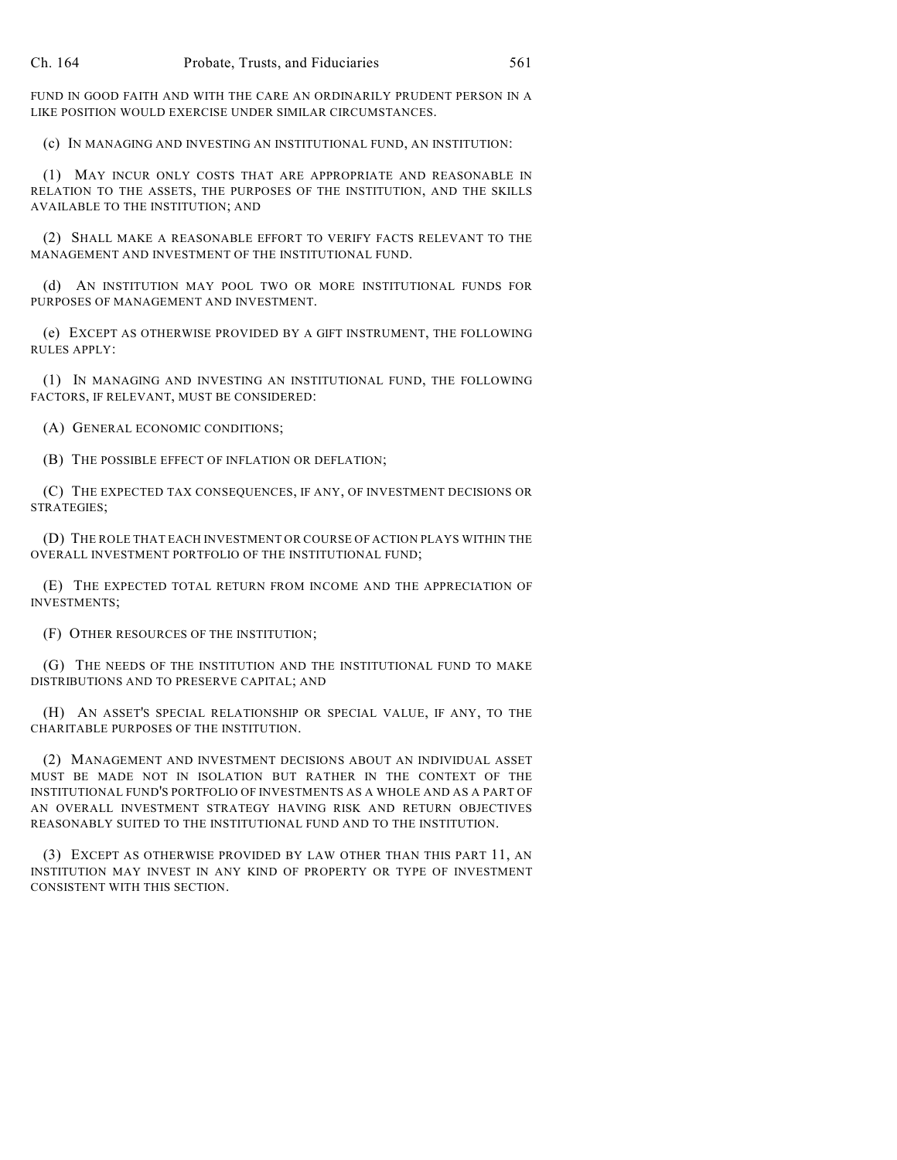FUND IN GOOD FAITH AND WITH THE CARE AN ORDINARILY PRUDENT PERSON IN A LIKE POSITION WOULD EXERCISE UNDER SIMILAR CIRCUMSTANCES.

(c) IN MANAGING AND INVESTING AN INSTITUTIONAL FUND, AN INSTITUTION:

(1) MAY INCUR ONLY COSTS THAT ARE APPROPRIATE AND REASONABLE IN RELATION TO THE ASSETS, THE PURPOSES OF THE INSTITUTION, AND THE SKILLS AVAILABLE TO THE INSTITUTION; AND

(2) SHALL MAKE A REASONABLE EFFORT TO VERIFY FACTS RELEVANT TO THE MANAGEMENT AND INVESTMENT OF THE INSTITUTIONAL FUND.

(d) AN INSTITUTION MAY POOL TWO OR MORE INSTITUTIONAL FUNDS FOR PURPOSES OF MANAGEMENT AND INVESTMENT.

(e) EXCEPT AS OTHERWISE PROVIDED BY A GIFT INSTRUMENT, THE FOLLOWING RULES APPLY:

(1) IN MANAGING AND INVESTING AN INSTITUTIONAL FUND, THE FOLLOWING FACTORS, IF RELEVANT, MUST BE CONSIDERED:

(A) GENERAL ECONOMIC CONDITIONS;

(B) THE POSSIBLE EFFECT OF INFLATION OR DEFLATION;

(C) THE EXPECTED TAX CONSEQUENCES, IF ANY, OF INVESTMENT DECISIONS OR STRATEGIES;

(D) THE ROLE THAT EACH INVESTMENT OR COURSE OF ACTION PLAYS WITHIN THE OVERALL INVESTMENT PORTFOLIO OF THE INSTITUTIONAL FUND;

(E) THE EXPECTED TOTAL RETURN FROM INCOME AND THE APPRECIATION OF INVESTMENTS;

(F) OTHER RESOURCES OF THE INSTITUTION;

(G) THE NEEDS OF THE INSTITUTION AND THE INSTITUTIONAL FUND TO MAKE DISTRIBUTIONS AND TO PRESERVE CAPITAL; AND

(H) AN ASSET'S SPECIAL RELATIONSHIP OR SPECIAL VALUE, IF ANY, TO THE CHARITABLE PURPOSES OF THE INSTITUTION.

(2) MANAGEMENT AND INVESTMENT DECISIONS ABOUT AN INDIVIDUAL ASSET MUST BE MADE NOT IN ISOLATION BUT RATHER IN THE CONTEXT OF THE INSTITUTIONAL FUND'S PORTFOLIO OF INVESTMENTS AS A WHOLE AND AS A PART OF AN OVERALL INVESTMENT STRATEGY HAVING RISK AND RETURN OBJECTIVES REASONABLY SUITED TO THE INSTITUTIONAL FUND AND TO THE INSTITUTION.

(3) EXCEPT AS OTHERWISE PROVIDED BY LAW OTHER THAN THIS PART 11, AN INSTITUTION MAY INVEST IN ANY KIND OF PROPERTY OR TYPE OF INVESTMENT CONSISTENT WITH THIS SECTION.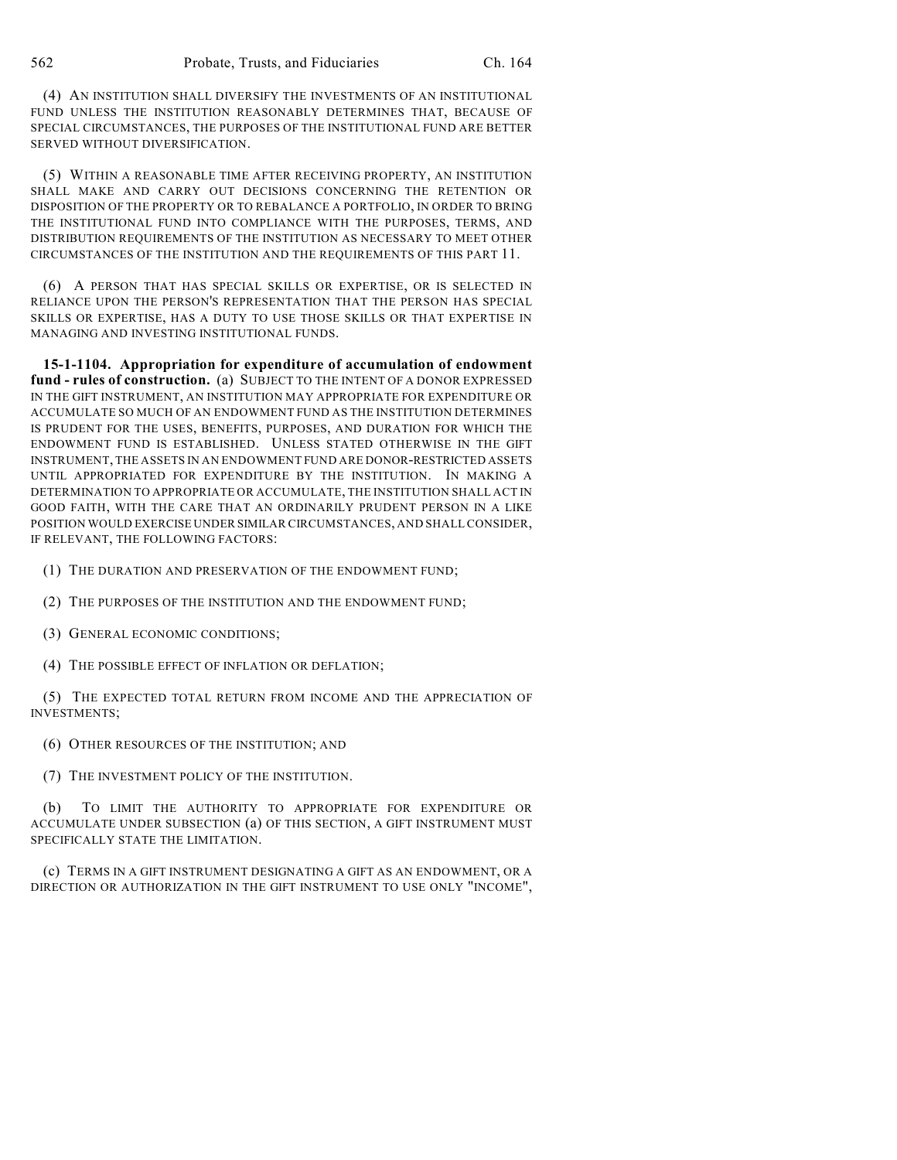(4) AN INSTITUTION SHALL DIVERSIFY THE INVESTMENTS OF AN INSTITUTIONAL FUND UNLESS THE INSTITUTION REASONABLY DETERMINES THAT, BECAUSE OF SPECIAL CIRCUMSTANCES, THE PURPOSES OF THE INSTITUTIONAL FUND ARE BETTER SERVED WITHOUT DIVERSIFICATION.

(5) WITHIN A REASONABLE TIME AFTER RECEIVING PROPERTY, AN INSTITUTION SHALL MAKE AND CARRY OUT DECISIONS CONCERNING THE RETENTION OR DISPOSITION OF THE PROPERTY OR TO REBALANCE A PORTFOLIO, IN ORDER TO BRING THE INSTITUTIONAL FUND INTO COMPLIANCE WITH THE PURPOSES, TERMS, AND DISTRIBUTION REQUIREMENTS OF THE INSTITUTION AS NECESSARY TO MEET OTHER CIRCUMSTANCES OF THE INSTITUTION AND THE REQUIREMENTS OF THIS PART 11.

(6) A PERSON THAT HAS SPECIAL SKILLS OR EXPERTISE, OR IS SELECTED IN RELIANCE UPON THE PERSON'S REPRESENTATION THAT THE PERSON HAS SPECIAL SKILLS OR EXPERTISE, HAS A DUTY TO USE THOSE SKILLS OR THAT EXPERTISE IN MANAGING AND INVESTING INSTITUTIONAL FUNDS.

**15-1-1104. Appropriation for expenditure of accumulation of endowment fund - rules of construction.** (a) SUBJECT TO THE INTENT OF A DONOR EXPRESSED IN THE GIFT INSTRUMENT, AN INSTITUTION MAY APPROPRIATE FOR EXPENDITURE OR ACCUMULATE SO MUCH OF AN ENDOWMENT FUND AS THE INSTITUTION DETERMINES IS PRUDENT FOR THE USES, BENEFITS, PURPOSES, AND DURATION FOR WHICH THE ENDOWMENT FUND IS ESTABLISHED. UNLESS STATED OTHERWISE IN THE GIFT INSTRUMENT, THE ASSETS IN AN ENDOWMENT FUND ARE DONOR-RESTRICTED ASSETS UNTIL APPROPRIATED FOR EXPENDITURE BY THE INSTITUTION. IN MAKING A DETERMINATION TO APPROPRIATE OR ACCUMULATE, THE INSTITUTION SHALL ACT IN GOOD FAITH, WITH THE CARE THAT AN ORDINARILY PRUDENT PERSON IN A LIKE POSITION WOULD EXERCISE UNDER SIMILAR CIRCUMSTANCES, AND SHALL CONSIDER, IF RELEVANT, THE FOLLOWING FACTORS:

(1) THE DURATION AND PRESERVATION OF THE ENDOWMENT FUND;

(2) THE PURPOSES OF THE INSTITUTION AND THE ENDOWMENT FUND;

(3) GENERAL ECONOMIC CONDITIONS;

(4) THE POSSIBLE EFFECT OF INFLATION OR DEFLATION;

(5) THE EXPECTED TOTAL RETURN FROM INCOME AND THE APPRECIATION OF INVESTMENTS;

(6) OTHER RESOURCES OF THE INSTITUTION; AND

(7) THE INVESTMENT POLICY OF THE INSTITUTION.

(b) TO LIMIT THE AUTHORITY TO APPROPRIATE FOR EXPENDITURE OR ACCUMULATE UNDER SUBSECTION (a) OF THIS SECTION, A GIFT INSTRUMENT MUST SPECIFICALLY STATE THE LIMITATION.

(c) TERMS IN A GIFT INSTRUMENT DESIGNATING A GIFT AS AN ENDOWMENT, OR A DIRECTION OR AUTHORIZATION IN THE GIFT INSTRUMENT TO USE ONLY "INCOME",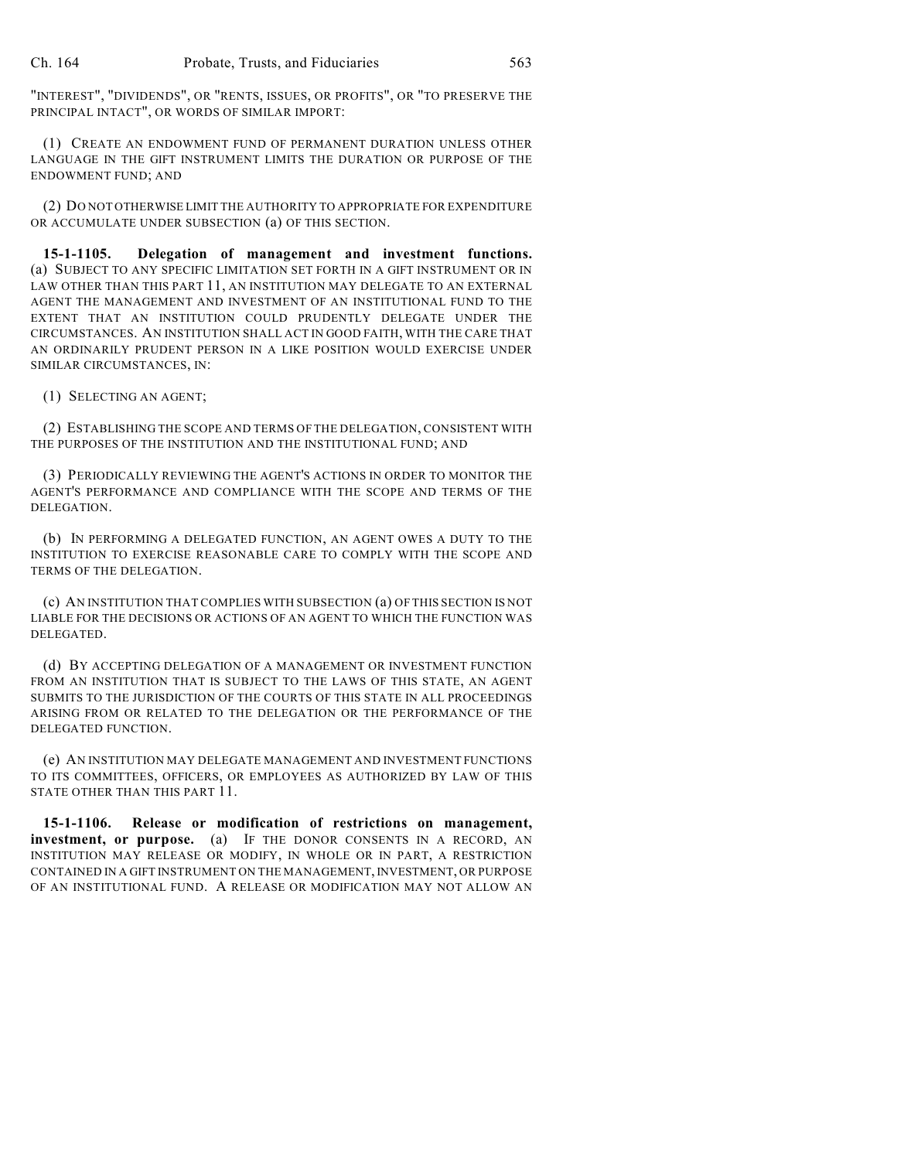"INTEREST", "DIVIDENDS", OR "RENTS, ISSUES, OR PROFITS", OR "TO PRESERVE THE PRINCIPAL INTACT", OR WORDS OF SIMILAR IMPORT:

(1) CREATE AN ENDOWMENT FUND OF PERMANENT DURATION UNLESS OTHER LANGUAGE IN THE GIFT INSTRUMENT LIMITS THE DURATION OR PURPOSE OF THE ENDOWMENT FUND; AND

(2) DO NOT OTHERWISE LIMIT THE AUTHORITY TO APPROPRIATE FOR EXPENDITURE OR ACCUMULATE UNDER SUBSECTION (a) OF THIS SECTION.

**15-1-1105. Delegation of management and investment functions.** (a) SUBJECT TO ANY SPECIFIC LIMITATION SET FORTH IN A GIFT INSTRUMENT OR IN LAW OTHER THAN THIS PART 11, AN INSTITUTION MAY DELEGATE TO AN EXTERNAL AGENT THE MANAGEMENT AND INVESTMENT OF AN INSTITUTIONAL FUND TO THE EXTENT THAT AN INSTITUTION COULD PRUDENTLY DELEGATE UNDER THE CIRCUMSTANCES. AN INSTITUTION SHALL ACT IN GOOD FAITH, WITH THE CARE THAT AN ORDINARILY PRUDENT PERSON IN A LIKE POSITION WOULD EXERCISE UNDER SIMILAR CIRCUMSTANCES, IN:

(1) SELECTING AN AGENT;

(2) ESTABLISHING THE SCOPE AND TERMS OF THE DELEGATION, CONSISTENT WITH THE PURPOSES OF THE INSTITUTION AND THE INSTITUTIONAL FUND; AND

(3) PERIODICALLY REVIEWING THE AGENT'S ACTIONS IN ORDER TO MONITOR THE AGENT'S PERFORMANCE AND COMPLIANCE WITH THE SCOPE AND TERMS OF THE DELEGATION.

(b) IN PERFORMING A DELEGATED FUNCTION, AN AGENT OWES A DUTY TO THE INSTITUTION TO EXERCISE REASONABLE CARE TO COMPLY WITH THE SCOPE AND TERMS OF THE DELEGATION.

(c) AN INSTITUTION THAT COMPLIES WITH SUBSECTION (a) OF THIS SECTION IS NOT LIABLE FOR THE DECISIONS OR ACTIONS OF AN AGENT TO WHICH THE FUNCTION WAS DELEGATED.

(d) BY ACCEPTING DELEGATION OF A MANAGEMENT OR INVESTMENT FUNCTION FROM AN INSTITUTION THAT IS SUBJECT TO THE LAWS OF THIS STATE, AN AGENT SUBMITS TO THE JURISDICTION OF THE COURTS OF THIS STATE IN ALL PROCEEDINGS ARISING FROM OR RELATED TO THE DELEGATION OR THE PERFORMANCE OF THE DELEGATED FUNCTION.

(e) AN INSTITUTION MAY DELEGATE MANAGEMENT AND INVESTMENT FUNCTIONS TO ITS COMMITTEES, OFFICERS, OR EMPLOYEES AS AUTHORIZED BY LAW OF THIS STATE OTHER THAN THIS PART 11.

**15-1-1106. Release or modification of restrictions on management, investment, or purpose.** (a) IF THE DONOR CONSENTS IN A RECORD, AN INSTITUTION MAY RELEASE OR MODIFY, IN WHOLE OR IN PART, A RESTRICTION CONTAINED IN A GIFT INSTRUMENT ON THE MANAGEMENT, INVESTMENT, OR PURPOSE OF AN INSTITUTIONAL FUND. A RELEASE OR MODIFICATION MAY NOT ALLOW AN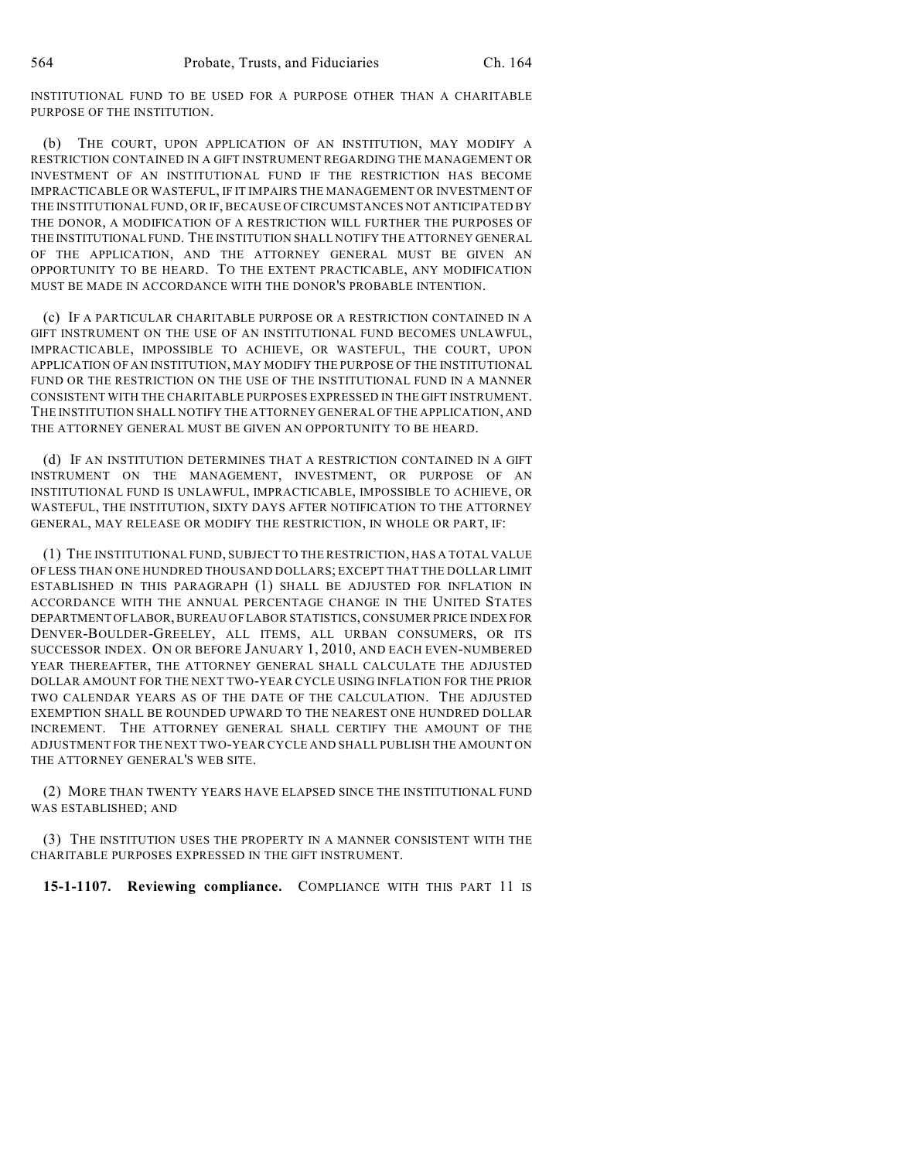INSTITUTIONAL FUND TO BE USED FOR A PURPOSE OTHER THAN A CHARITABLE PURPOSE OF THE INSTITUTION.

(b) THE COURT, UPON APPLICATION OF AN INSTITUTION, MAY MODIFY A RESTRICTION CONTAINED IN A GIFT INSTRUMENT REGARDING THE MANAGEMENT OR INVESTMENT OF AN INSTITUTIONAL FUND IF THE RESTRICTION HAS BECOME IMPRACTICABLE OR WASTEFUL, IF IT IMPAIRS THE MANAGEMENT OR INVESTMENT OF THE INSTITUTIONAL FUND, OR IF, BECAUSE OF CIRCUMSTANCES NOT ANTICIPATED BY THE DONOR, A MODIFICATION OF A RESTRICTION WILL FURTHER THE PURPOSES OF THE INSTITUTIONAL FUND. THE INSTITUTION SHALL NOTIFY THE ATTORNEY GENERAL OF THE APPLICATION, AND THE ATTORNEY GENERAL MUST BE GIVEN AN OPPORTUNITY TO BE HEARD. TO THE EXTENT PRACTICABLE, ANY MODIFICATION MUST BE MADE IN ACCORDANCE WITH THE DONOR'S PROBABLE INTENTION.

(c) IF A PARTICULAR CHARITABLE PURPOSE OR A RESTRICTION CONTAINED IN A GIFT INSTRUMENT ON THE USE OF AN INSTITUTIONAL FUND BECOMES UNLAWFUL, IMPRACTICABLE, IMPOSSIBLE TO ACHIEVE, OR WASTEFUL, THE COURT, UPON APPLICATION OF AN INSTITUTION, MAY MODIFY THE PURPOSE OF THE INSTITUTIONAL FUND OR THE RESTRICTION ON THE USE OF THE INSTITUTIONAL FUND IN A MANNER CONSISTENT WITH THE CHARITABLE PURPOSES EXPRESSED IN THE GIFT INSTRUMENT. THE INSTITUTION SHALL NOTIFY THE ATTORNEY GENERAL OF THE APPLICATION, AND THE ATTORNEY GENERAL MUST BE GIVEN AN OPPORTUNITY TO BE HEARD.

(d) IF AN INSTITUTION DETERMINES THAT A RESTRICTION CONTAINED IN A GIFT INSTRUMENT ON THE MANAGEMENT, INVESTMENT, OR PURPOSE OF AN INSTITUTIONAL FUND IS UNLAWFUL, IMPRACTICABLE, IMPOSSIBLE TO ACHIEVE, OR WASTEFUL, THE INSTITUTION, SIXTY DAYS AFTER NOTIFICATION TO THE ATTORNEY GENERAL, MAY RELEASE OR MODIFY THE RESTRICTION, IN WHOLE OR PART, IF:

(1) THE INSTITUTIONAL FUND, SUBJECT TO THE RESTRICTION, HAS A TOTAL VALUE OF LESS THAN ONE HUNDRED THOUSAND DOLLARS; EXCEPT THAT THE DOLLAR LIMIT ESTABLISHED IN THIS PARAGRAPH (1) SHALL BE ADJUSTED FOR INFLATION IN ACCORDANCE WITH THE ANNUAL PERCENTAGE CHANGE IN THE UNITED STATES DEPARTMENT OF LABOR, BUREAU OF LABOR STATISTICS, CONSUMER PRICE INDEX FOR DENVER-BOULDER-GREELEY, ALL ITEMS, ALL URBAN CONSUMERS, OR ITS SUCCESSOR INDEX. ON OR BEFORE JANUARY 1, 2010, AND EACH EVEN-NUMBERED YEAR THEREAFTER, THE ATTORNEY GENERAL SHALL CALCULATE THE ADJUSTED DOLLAR AMOUNT FOR THE NEXT TWO-YEAR CYCLE USING INFLATION FOR THE PRIOR TWO CALENDAR YEARS AS OF THE DATE OF THE CALCULATION. THE ADJUSTED EXEMPTION SHALL BE ROUNDED UPWARD TO THE NEAREST ONE HUNDRED DOLLAR INCREMENT. THE ATTORNEY GENERAL SHALL CERTIFY THE AMOUNT OF THE ADJUSTMENT FOR THE NEXT TWO-YEAR CYCLE AND SHALL PUBLISH THE AMOUNT ON THE ATTORNEY GENERAL'S WEB SITE.

(2) MORE THAN TWENTY YEARS HAVE ELAPSED SINCE THE INSTITUTIONAL FUND WAS ESTABLISHED; AND

(3) THE INSTITUTION USES THE PROPERTY IN A MANNER CONSISTENT WITH THE CHARITABLE PURPOSES EXPRESSED IN THE GIFT INSTRUMENT.

**15-1-1107. Reviewing compliance.** COMPLIANCE WITH THIS PART 11 IS